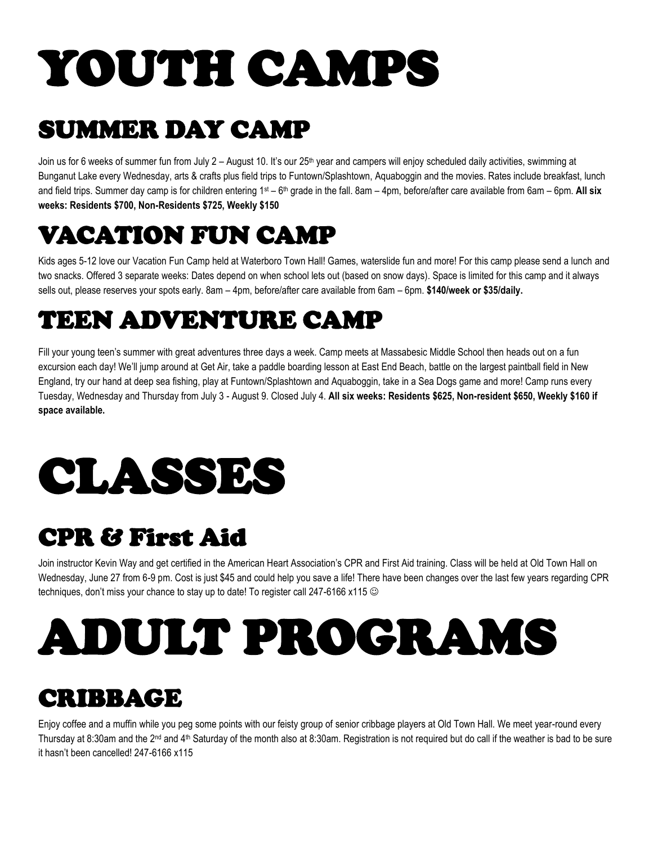# YOUTH CAMPS

### SUMMER DAY CAMP

Join us for 6 weeks of summer fun from July 2 - August 10. It's our 25<sup>th</sup> year and campers will enjoy scheduled daily activities, swimming at Bunganut Lake every Wednesday, arts & crafts plus field trips to Funtown/Splashtown, Aquaboggin and the movies. Rates include breakfast, lunch and field trips. Summer day camp is for children entering 1st – 6<sup>th</sup> grade in the fall. 8am – 4pm, before/after care available from 6am – 6pm. **All six weeks: Residents \$700, Non-Residents \$725, Weekly \$150**

### VACATION FUN CAMP

Kids ages 5-12 love our Vacation Fun Camp held at Waterboro Town Hall! Games, waterslide fun and more! For this camp please send a lunch and two snacks. Offered 3 separate weeks: Dates depend on when school lets out (based on snow days). Space is limited for this camp and it always sells out, please reserves your spots early. 8am – 4pm, before/after care available from 6am – 6pm. **\$140/week or \$35/daily.** 

### TEEN ADVENTURE CAMP

Fill your young teen's summer with great adventures three days a week. Camp meets at Massabesic Middle School then heads out on a fun excursion each day! We'll jump around at Get Air, take a paddle boarding lesson at East End Beach, battle on the largest paintball field in New England, try our hand at deep sea fishing, play at Funtown/Splashtown and Aquaboggin, take in a Sea Dogs game and more! Camp runs every Tuesday, Wednesday and Thursday from July 3 - August 9. Closed July 4. **All six weeks: Residents \$625, Non-resident \$650, Weekly \$160 if space available.** 

## CLASSES

#### CPR & First Aid

Join instructor Kevin Way and get certified in the American Heart Association's CPR and First Aid training. Class will be held at Old Town Hall on Wednesday, June 27 from 6-9 pm. Cost is just \$45 and could help you save a life! There have been changes over the last few years regarding CPR techniques, don't miss your chance to stay up to date! To register call 247-6166 x115

# ADULT PROGRAMS

#### CRIBBAGE

Enjoy coffee and a muffin while you peg some points with our feisty group of senior cribbage players at Old Town Hall. We meet year-round every Thursday at 8:30am and the 2<sup>nd</sup> and 4<sup>th</sup> Saturday of the month also at 8:30am. Registration is not required but do call if the weather is bad to be sure it hasn't been cancelled! 247-6166 x115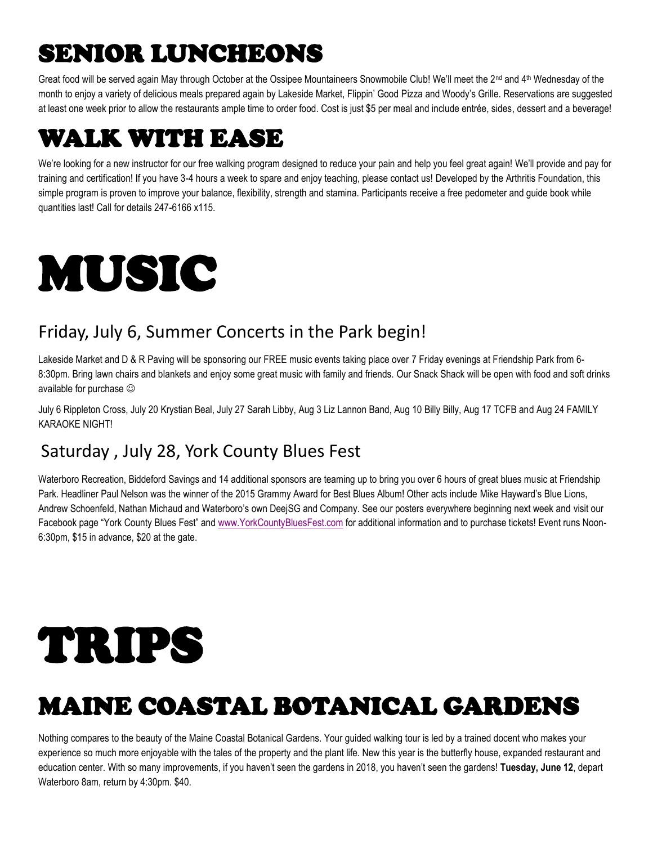## SENIOR LUNCHEONS

Great food will be served again May through October at the Ossipee Mountaineers Snowmobile Club! We'll meet the 2<sup>nd</sup> and 4<sup>th</sup> Wednesday of the month to enjoy a variety of delicious meals prepared again by Lakeside Market, Flippin' Good Pizza and Woody's Grille. Reservations are suggested at least one week prior to allow the restaurants ample time to order food. Cost is just \$5 per meal and include entrée, sides, dessert and a beverage!

#### WALK WITH EASE

We're looking for a new instructor for our free walking program designed to reduce your pain and help you feel great again! We'll provide and pay for training and certification! If you have 3-4 hours a week to spare and enjoy teaching, please contact us! Developed by the Arthritis Foundation, this simple program is proven to improve your balance, flexibility, strength and stamina. Participants receive a free pedometer and guide book while quantities last! Call for details 247-6166 x115.

# MUSIC

#### Friday, July 6, Summer Concerts in the Park begin!

Lakeside Market and D & R Paving will be sponsoring our FREE music events taking place over 7 Friday evenings at Friendship Park from 6- 8:30pm. Bring lawn chairs and blankets and enjoy some great music with family and friends. Our Snack Shack will be open with food and soft drinks available for purchase

July 6 Rippleton Cross, July 20 Krystian Beal, July 27 Sarah Libby, Aug 3 Liz Lannon Band, Aug 10 Billy Billy, Aug 17 TCFB and Aug 24 FAMILY KARAOKE NIGHT!

#### Saturday , July 28, York County Blues Fest

Waterboro Recreation, Biddeford Savings and 14 additional sponsors are teaming up to bring you over 6 hours of great blues music at Friendship Park. Headliner Paul Nelson was the winner of the 2015 Grammy Award for Best Blues Album! Other acts include Mike Hayward's Blue Lions, Andrew Schoenfeld, Nathan Michaud and Waterboro's own DeejSG and Company. See our posters everywhere beginning next week and visit our Facebook page "York County Blues Fest" and [www.YorkCountyBluesFest.com](http://www.yorkcountybluesfest.com/) for additional information and to purchase tickets! Event runs Noon-6:30pm, \$15 in advance, \$20 at the gate.

# TRIPS

### MAINE COASTAL BOTANICAL GARDENS

Nothing compares to the beauty of the Maine Coastal Botanical Gardens. Your guided walking tour is led by a trained docent who makes your experience so much more enjoyable with the tales of the property and the plant life. New this year is the butterfly house, expanded restaurant and education center. With so many improvements, if you haven't seen the gardens in 2018, you haven't seen the gardens! **Tuesday, June 12**, depart Waterboro 8am, return by 4:30pm. \$40.